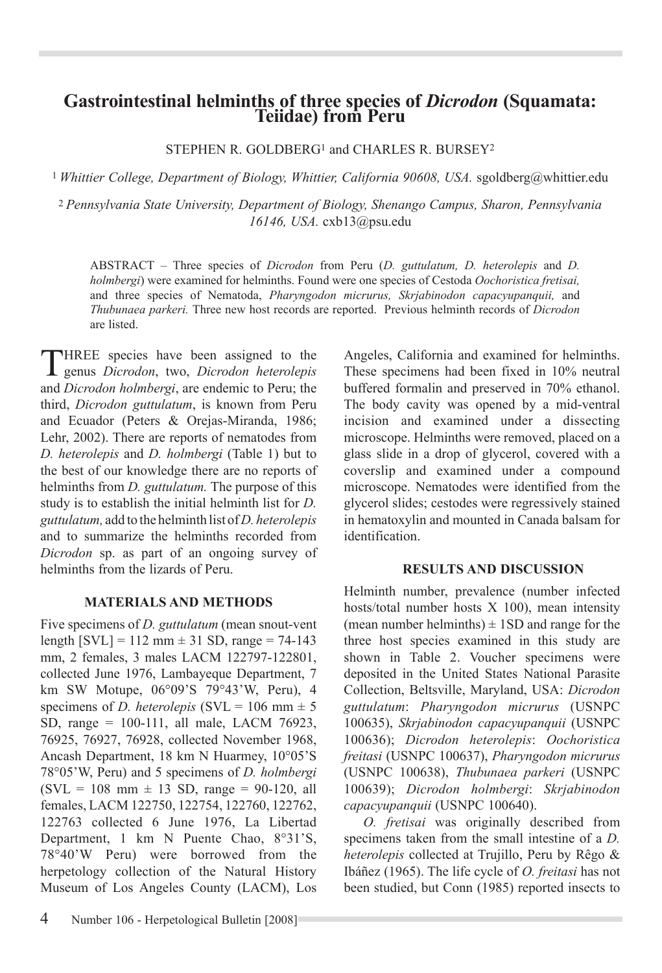# **Gastrointestinal helminths of three species of** *Dicrodon* **(Squamata: Teiidae) from Peru**

STEPHEN R. GOLDBERG<sup>1</sup> and CHARLES R. BURSEY<sup>2</sup>

<sup>1</sup> Whittier College, Department of Biology, Whittier, California 90608, USA. sgoldberg@whittier.edu

<sup>2</sup>*Pennsylvania State University, Department of Biology, Shenango Campus, Sharon, Pennsylvania 16146, USA.* cxb13@psu.edu

ABSTRACT – Three species of *Dicrodon* from Peru (*D. guttulatum, D. heterolepis* and *D. holmbergi*) were examined for helminths. Found were one species of Cestoda *Oochoristica fretisai,*  and three species of Nematoda, *Pharyngodon micrurus, Skrjabinodon capacyupanquii,* and *Thubunaea parkeri.* Three new host records are reported. Previous helminth records of *Dicrodon*  are listed.

THREE species have been assigned to the genus *Dicrodon*, two, *Dicrodon heterolepis*  and *Dicrodon holmbergi*, are endemic to Peru; the third, *Dicrodon guttulatum*, is known from Peru and Ecuador (Peters & Orejas-Miranda, 1986; Lehr, 2002). There are reports of nematodes from *D. heterolepis* and *D. holmbergi* (Table 1) but to the best of our knowledge there are no reports of helminths from *D. guttulatum.* The purpose of this study is to establish the initial helminth list for *D. guttulatum,* add to the helminth list of *D. heterolepis* and to summarize the helminths recorded from *Dicrodon* sp. as part of an ongoing survey of helminths from the lizards of Peru.

## **MATERIALS AND Methods**

Five specimens of *D. guttulatum* (mean snout-vent length  $[SVL] = 112$  mm  $\pm 31$  SD, range = 74-143 mm, 2 females, 3 males LACM 122797-122801, collected June 1976, Lambayeque Department, 7 km SW Motupe, 06°09'S 79°43'W, Peru), 4 specimens of *D. heterolepis* (SVL = 106 mm  $\pm$  5 SD, range = 100-111, all male, LACM 76923, 76925, 76927, 76928, collected November 1968, Ancash Department, 18 km N Huarmey, 10°05'S 78°05'W, Peru) and 5 specimens of *D. holmbergi*  $(SVL = 108$  mm  $\pm$  13 SD, range = 90-120, all females, LACM 122750, 122754, 122760, 122762, 122763 collected 6 June 1976, La Libertad Department, 1 km N Puente Chao, 8°31'S, 78°40'W Peru) were borrowed from the herpetology collection of the Natural History Museum of Los Angeles County (LACM), Los

Angeles, California and examined for helminths. These specimens had been fixed in 10% neutral buffered formalin and preserved in 70% ethanol. The body cavity was opened by a mid-ventral incision and examined under a dissecting microscope. Helminths were removed, placed on a glass slide in a drop of glycerol, covered with a coverslip and examined under a compound microscope. Nematodes were identified from the glycerol slides; cestodes were regressively stained in hematoxylin and mounted in Canada balsam for identification.

## **RESULTS AND DISCUSSION**

Helminth number, prevalence (number infected hosts/total number hosts X 100), mean intensity (mean number helminths)  $\pm$  1SD and range for the three host species examined in this study are shown in Table 2. Voucher specimens were deposited in the United States National Parasite Collection, Beltsville, Maryland, USA: *Dicrodon guttulatum*: *Pharyngodon micrurus* (USNPC 100635), *Skrjabinodon capacyupanquii* (USNPC 100636); *Dicrodon heterolepis*: *Oochoristica freitasi* (USNPC 100637), *Pharyngodon micrurus*  (USNPC 100638), *Thubunaea parkeri* (USNPC 100639); *Dicrodon holmbergi*: *Skrjabinodon capacyupanquii* (USNPC 100640).

*O. fretisai* was originally described from specimens taken from the small intestine of a *D. heterolepis* collected at Trujillo, Peru by Rêgo & Ibáñez (1965). The life cycle of *O. freitasi* has not been studied, but Conn (1985) reported insects to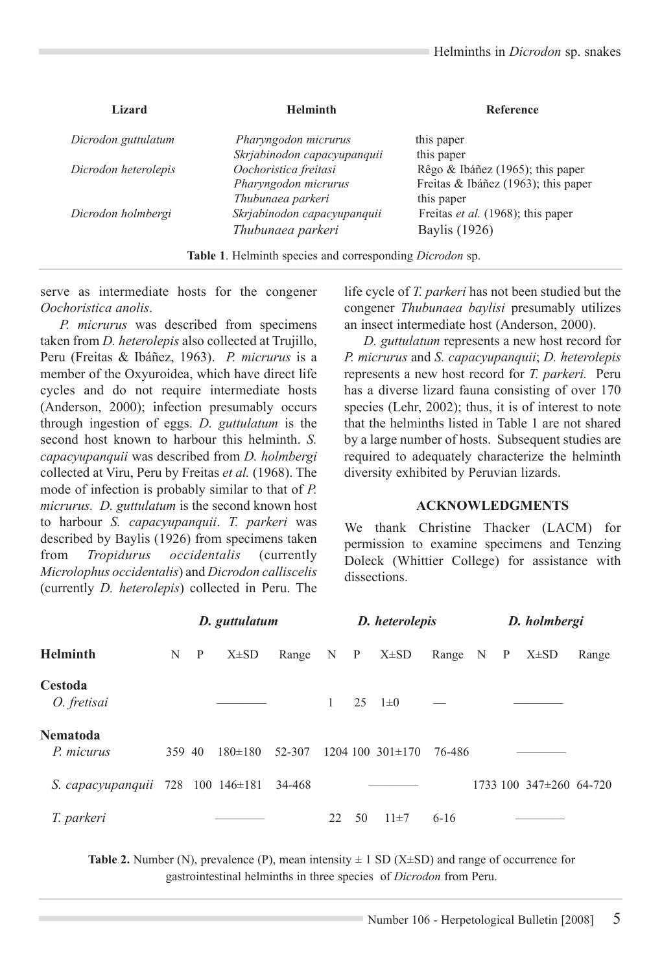| Lizard               | <b>Helminth</b>                                                        | Reference                           |  |  |  |  |
|----------------------|------------------------------------------------------------------------|-------------------------------------|--|--|--|--|
| Dicrodon guttulatum  | Pharyngodon micrurus                                                   | this paper                          |  |  |  |  |
|                      | Skrjabinodon capacyupanquii                                            | this paper                          |  |  |  |  |
| Dicrodon heterolepis | Oochoristica freitasi                                                  | Rêgo & Ibáñez (1965); this paper    |  |  |  |  |
|                      | Pharyngodon micrurus                                                   | Freitas & Ibáñez (1963); this paper |  |  |  |  |
|                      | Thubunaea parkeri                                                      | this paper                          |  |  |  |  |
| Dicrodon holmbergi   | Skrjabinodon capacyupanquii                                            | Freitas et al. (1968); this paper   |  |  |  |  |
|                      | Thubunaea parkeri                                                      | Baylis (1926)                       |  |  |  |  |
|                      | <b>Table 1.</b> Helminth species and corresponding <i>Dicrodon</i> sp. |                                     |  |  |  |  |

serve as intermediate hosts for the congener *Oochoristica anolis*.

*P. micrurus* was described from specimens taken from *D. heterolepis* also collected at Trujillo, Peru (Freitas & Ibáñez, 1963). *P. micrurus* is a member of the Oxyuroidea, which have direct life cycles and do not require intermediate hosts (Anderson, 2000); infection presumably occurs through ingestion of eggs. *D. guttulatum* is the second host known to harbour this helminth. *S. capacyupanquii* was described from *D. holmbergi*  collected at Viru, Peru by Freitas *et al.* (1968). The mode of infection is probably similar to that of *P. micrurus. D. guttulatum* is the second known host to harbour *S. capacyupanquii*. *T. parkeri* was described by Baylis (1926) from specimens taken<br>from Tropidurus occidentalis (currently from *Tropidurus occidentalis* (currently *Microlophus occidentalis*) and *Dicrodon calliscelis* (currently *D. heterolepis*) collected in Peru. The life cycle of *T. parkeri* has not been studied but the congener *Thubunaea baylisi* presumably utilizes an insect intermediate host (Anderson, 2000).

*D. guttulatum* represents a new host record for *P. micrurus* and *S. capacyupanquii*; *D. heterolepis* represents a new host record for *T. parkeri.* Peru has a diverse lizard fauna consisting of over 170 species (Lehr, 2002); thus, it is of interest to note that the helminths listed in Table 1 are not shared by a large number of hosts. Subsequent studies are required to adequately characterize the helminth diversity exhibited by Peruvian lizards.

#### **ACKNOWLEDGMENTS**

We thank Christine Thacker (LACM) for permission to examine specimens and Tenzing Doleck (Whittier College) for assistance with dissections.

| <b>Helminth</b>                   | D. guttulatum |              |             | D. heterolepis |         |    | D. holmbergi           |           |  |  |                         |       |
|-----------------------------------|---------------|--------------|-------------|----------------|---------|----|------------------------|-----------|--|--|-------------------------|-------|
|                                   | N             | $\mathbf{P}$ | $X\pm SD$   | Range          | $N$ $P$ |    | $X\pm SD$              | Range N P |  |  | $X\pm SD$               | Range |
| <b>Cestoda</b><br>O. fretisai     |               |              |             |                | 1       | 25 | $1\pm 0$               |           |  |  |                         |       |
| <b>Nematoda</b><br>P. micurus     | 359 40        |              | $180\pm180$ | 52-307         |         |    | $1204$ 100 $301\pm170$ | 76-486    |  |  |                         |       |
| S. capacyupanquii 728 100 146±181 |               |              |             | 34-468         |         |    |                        |           |  |  | 1733 100 347±260 64-720 |       |
| T. parkeri                        |               |              |             |                | 22      | 50 | $11 \pm 7$             | $6 - 16$  |  |  |                         |       |

**Table 2.** Number (N), prevalence (P), mean intensity  $\pm$  1 SD (X $\pm$ SD) and range of occurrence for gastrointestinal helminths in three species of *Dicrodon* from Peru.